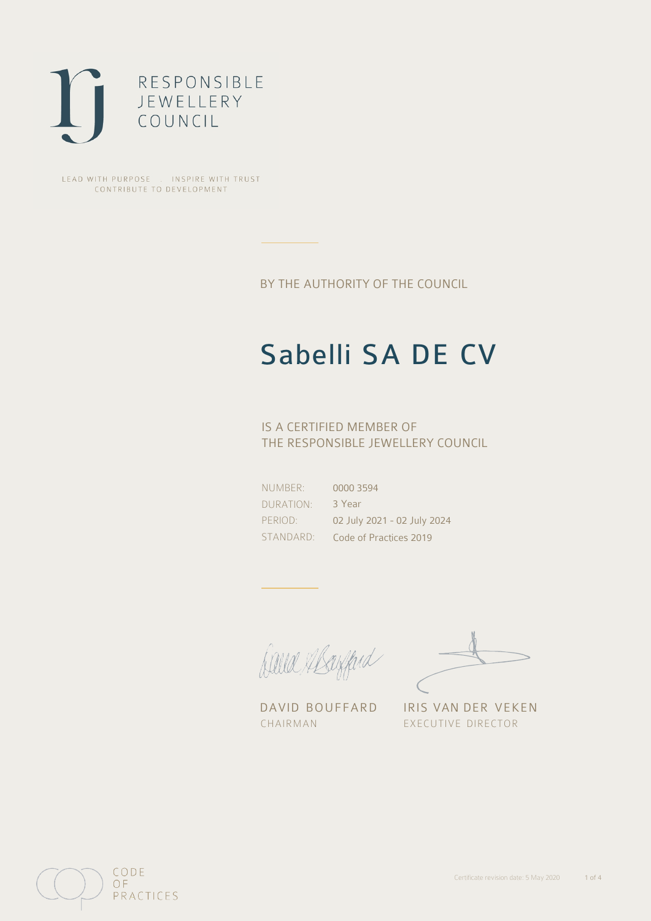

LEAD WITH PURPOSE . INSPIRE WITH TRUST CONTRIBUTE TO DEVELOPMENT

BY THE AUTHORITY OF THE COUNCIL

# Sabelli SA DE CV

### IS A CERTIFIED MEMBER OF THE RESPONSIBLE JEWELLERY COUNCIL

NUMBER: DURATION: PERIOD: STANDARD: 0000 3594 3 Year 02 July 2021 - 02 July 2024 Code of Practices 2019

Caux Margaret

CHAIRMAN EXECUTIVE DIRECTOR

DAVID BOUFFARD IRIS VAN DER VEKEN

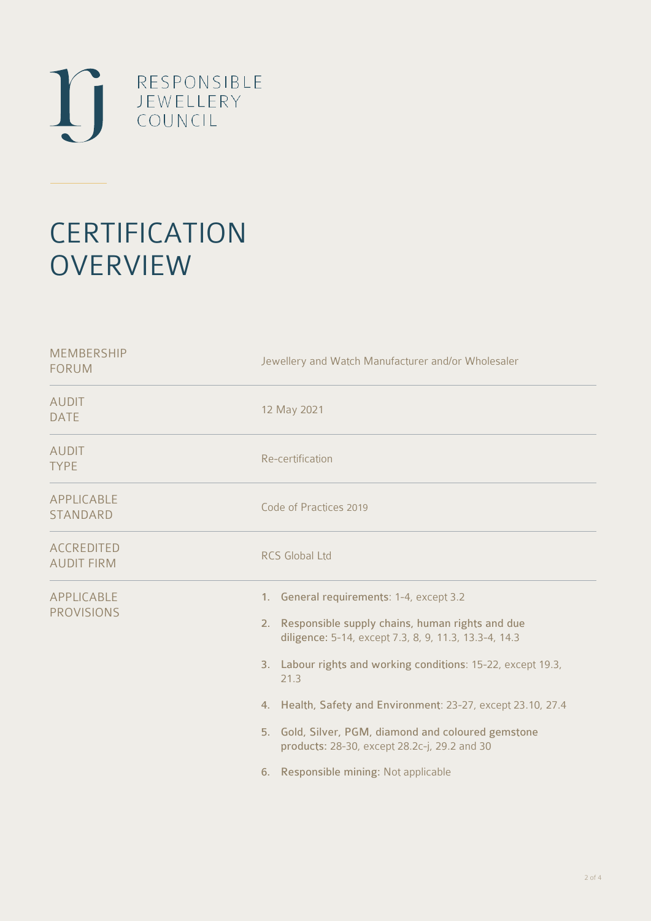

## **CERTIFICATION OVERVIEW**

| <b>MEMBERSHIP</b><br><b>FORUM</b>      | Jewellery and Watch Manufacturer and/or Wholesaler                                                                                                                                                                                                                                                                                                                                                                                              |
|----------------------------------------|-------------------------------------------------------------------------------------------------------------------------------------------------------------------------------------------------------------------------------------------------------------------------------------------------------------------------------------------------------------------------------------------------------------------------------------------------|
| <b>AUDIT</b><br><b>DATE</b>            | 12 May 2021                                                                                                                                                                                                                                                                                                                                                                                                                                     |
| <b>AUDIT</b><br><b>TYPE</b>            | Re-certification                                                                                                                                                                                                                                                                                                                                                                                                                                |
| APPLICABLE<br><b>STANDARD</b>          | Code of Practices 2019                                                                                                                                                                                                                                                                                                                                                                                                                          |
| <b>ACCREDITED</b><br><b>AUDIT FIRM</b> | <b>RCS Global Ltd</b>                                                                                                                                                                                                                                                                                                                                                                                                                           |
| <b>APPLICABLE</b><br><b>PROVISIONS</b> | 1. General requirements: 1-4, except 3.2<br>2. Responsible supply chains, human rights and due<br>diligence: 5-14, except 7.3, 8, 9, 11.3, 13.3-4, 14.3<br>3. Labour rights and working conditions: 15-22, except 19.3,<br>21.3<br>4. Health, Safety and Environment: 23-27, except 23.10, 27.4<br>5. Gold, Silver, PGM, diamond and coloured gemstone<br>products: 28-30, except 28.2c-j, 29.2 and 30<br>6. Responsible mining: Not applicable |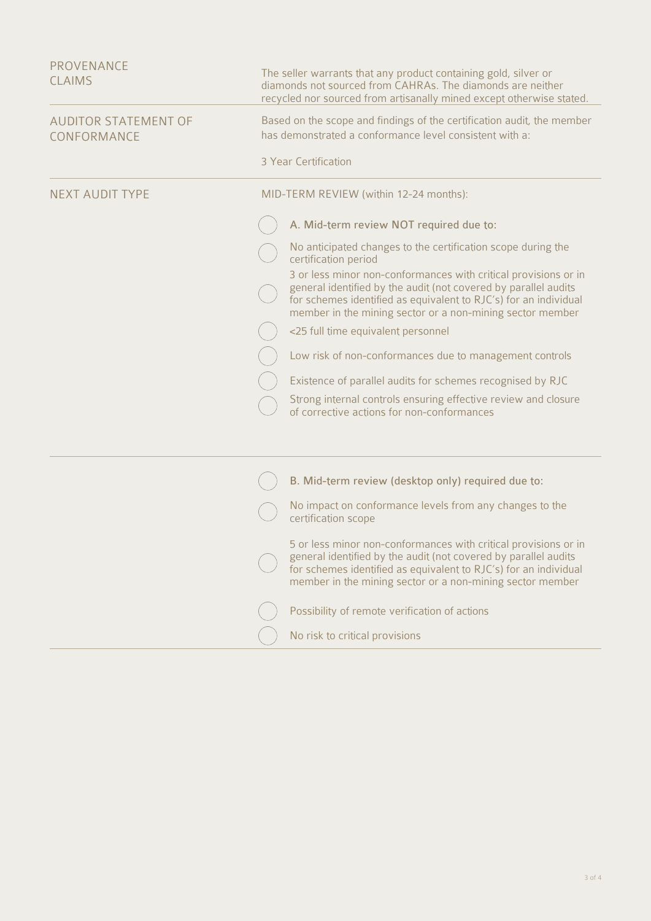| PROVENANCE<br><b>CLAIMS</b>                | The seller warrants that any product containing gold, silver or<br>diamonds not sourced from CAHRAs. The diamonds are neither<br>recycled nor sourced from artisanally mined except otherwise stated.                                                               |
|--------------------------------------------|---------------------------------------------------------------------------------------------------------------------------------------------------------------------------------------------------------------------------------------------------------------------|
| <b>AUDITOR STATEMENT OF</b><br>CONFORMANCE | Based on the scope and findings of the certification audit, the member<br>has demonstrated a conformance level consistent with a:                                                                                                                                   |
|                                            | 3 Year Certification                                                                                                                                                                                                                                                |
| <b>NEXT AUDIT TYPE</b>                     | MID-TERM REVIEW (within 12-24 months):                                                                                                                                                                                                                              |
|                                            | A. Mid-term review NOT required due to:                                                                                                                                                                                                                             |
|                                            | No anticipated changes to the certification scope during the<br>certification period                                                                                                                                                                                |
|                                            | 3 or less minor non-conformances with critical provisions or in<br>general identified by the audit (not covered by parallel audits<br>for schemes identified as equivalent to RJC's) for an individual<br>member in the mining sector or a non-mining sector member |
|                                            | <25 full time equivalent personnel                                                                                                                                                                                                                                  |
|                                            | Low risk of non-conformances due to management controls                                                                                                                                                                                                             |
|                                            | Existence of parallel audits for schemes recognised by RJC                                                                                                                                                                                                          |
|                                            | Strong internal controls ensuring effective review and closure<br>of corrective actions for non-conformances                                                                                                                                                        |
|                                            |                                                                                                                                                                                                                                                                     |
|                                            | B. Mid-term review (desktop only) required due to:                                                                                                                                                                                                                  |
|                                            | No impact on conformance levels from any changes to the<br>certification scope                                                                                                                                                                                      |
|                                            | 5 or less minor non-conformances with critical provisions or in<br>general identified by the audit (not covered by parallel audits<br>for schemes identified as equivalent to RJC's) for an individual<br>member in the mining sector or a non-mining sector member |
|                                            | Possibility of remote verification of actions                                                                                                                                                                                                                       |
|                                            | No risk to critical provisions                                                                                                                                                                                                                                      |
|                                            |                                                                                                                                                                                                                                                                     |